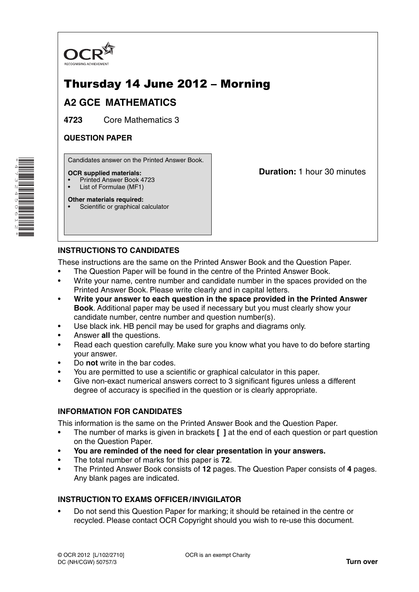

# Thursday 14 June 2012 – Morning

# **A2 GCE MATHEMATICS**

**4723** Core Mathematics 3

## **QUESTION PAPER**

Candidates answer on the Printed Answer Book.

### **OCR supplied materials:**

- Printed Answer Book 4723
- List of Formulae (MF1) **Other materials required:**

**Duration:** 1 hour 30 minutes

Scientific or graphical calculator

**INSTRUCTIONS TO CANDIDATES**

These instructions are the same on the Printed Answer Book and the Question Paper.

- The Question Paper will be found in the centre of the Printed Answer Book.
- Write your name, centre number and candidate number in the spaces provided on the Printed Answer Book. Please write clearly and in capital letters.
- **Write your answer to each question in the space provided in the Printed Answer Book**. Additional paper may be used if necessary but you must clearly show your candidate number, centre number and question number(s).
- Use black ink. HB pencil may be used for graphs and diagrams only.
- Answer **all** the questions.
- Read each question carefully. Make sure you know what you have to do before starting your answer.
- Do **not** write in the bar codes.
- You are permitted to use a scientific or graphical calculator in this paper.
- Give non-exact numerical answers correct to 3 significant figures unless a different degree of accuracy is specified in the question or is clearly appropriate.

## **INFORMATION FOR CANDIDATES**

This information is the same on the Printed Answer Book and the Question Paper.

- The number of marks is given in brackets **[ ]** at the end of each question or part question on the Question Paper.
- **You are reminded of the need for clear presentation in your answers.**
- The total number of marks for this paper is **72**.
- The Printed Answer Book consists of **12** pages. The Question Paper consists of **4** pages. Any blank pages are indicated.

### **INSTRUCTION TO EXAMS OFFICER / INVIGILATOR**

• Do not send this Question Paper for marking; it should be retained in the centre or recycled. Please contact OCR Copyright should you wish to re-use this document.

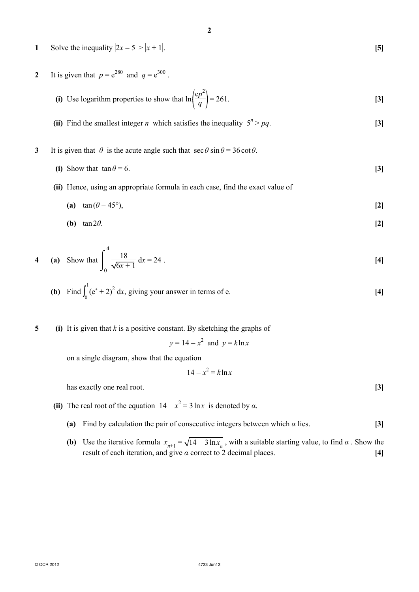|  | 1 Solve the inequality $ 2x-5  >  x+1 $ . | [5] |
|--|-------------------------------------------|-----|
|--|-------------------------------------------|-----|

2 It is given that  $p = e^{280}$  and  $q = e^{300}$ .

(i) Use logarithm properties to show that 
$$
\ln\left(\frac{ep^2}{q}\right) = 261
$$
. [3]

(ii) Find the smallest integer *n* which satisfies the inequality 
$$
5^n > pq
$$
.  $[3]$ 

- **3** It is given that  $\theta$  is the acute angle such that  $\sec \theta \sin \theta = 36 \cot \theta$ .
	- **(i)** Show that  $\tan \theta = 6$ . **[3]**
	- **(ii)** Hence, using an appropriate formula in each case, find the exact value of
		- **(a)**  $\tan(\theta 45^{\circ})$ , **[2]**

**(b)** 
$$
\tan 2\theta
$$
.

4 (a) Show that 
$$
\int_0^4 \frac{18}{\sqrt{6x+1}} dx = 24
$$
. [4]

**(b)** Find 
$$
\int_0^1 (e^x + 2)^2 dx
$$
, giving your answer in terms of e. [4]

**5 (i)** It is given that *k* is a positive constant. By sketching the graphs of

$$
y = 14 - x^2
$$
 and 
$$
y = k \ln x
$$

on a single diagram, show that the equation

$$
14 - x^2 = k \ln x
$$

has exactly one real root. **[3]** 

- (ii) The real root of the equation  $14 x^2 = 3 \ln x$  is denoted by *α*.
	- **(a)** Find by calculation the pair of consecutive integers between which *α* lies. **[3]**
	- **(b)** Use the iterative formula  $x_{n+1} = \sqrt{14 3 \ln x_n}$ , with a suitable starting value, to find  $\alpha$ . Show the result of each iteration, and give *α* correct to 2 decimal places. **[4]**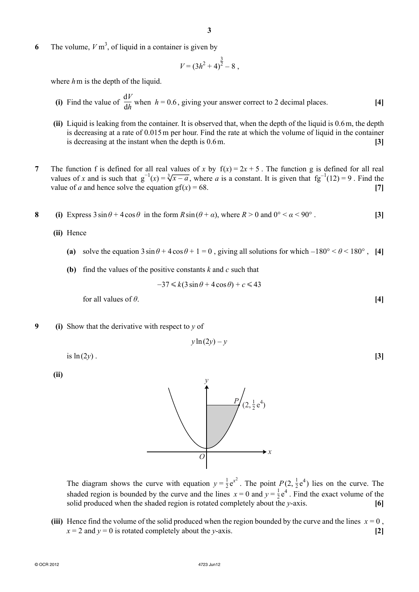6 The volume,  $V \text{ m}^3$ , of liquid in a container is given by

$$
V = (3h^2 + 4)^{\frac{3}{2}} - 8,
$$

where  $h$  m is the depth of the liquid.

- **(i)** Find the value of d*V*  $\frac{d\mathbf{r}}{dh}$  when  $h = 0.6$ , giving your answer correct to 2 decimal places. **[4]** 
	- **(ii)** Liquid is leaking from the container. It is observed that, when the depth of the liquid is 0.6 m, the depth is decreasing at a rate of 0.015 m per hour. Find the rate at which the volume of liquid in the container is decreasing at the instant when the depth is 0.6 m. **[3]**
- **7** The function f is defined for all real values of *x* by  $f(x) = 2x + 5$ . The function g is defined for all real values of *x* and is such that  $g^{-1}(x) = \sqrt[3]{x-a}$ , where *a* is a constant. It is given that fg<sup>-1</sup>(12) = 9. Find the value of *a* and hence solve the equation gf(*x*) = 68. **[7]**
- **8** (i) Express  $3 \sin \theta + 4 \cos \theta$  in the form  $R \sin (\theta + \alpha)$ , where  $R > 0$  and  $0^{\circ} < \alpha < 90^{\circ}$ . [3]
	- **(ii)** Hence
		- **(a)** solve the equation  $3 \sin \theta + 4 \cos \theta + 1 = 0$ , giving all solutions for which  $-180^\circ < \theta < 180^\circ$ , [4]
		- **(b)** find the values of the positive constants *k* and *c* such that

$$
-37 \le k(3\sin\theta + 4\cos\theta) + c \le 43
$$

**for all values of**  $\theta$ **. [4]** 

**9 (i)** Show that the derivative with respect to *y* of

$$
y\ln(2y) - y
$$

 $\ln(2y)$ . **[3]** 

 **(ii)**



The diagram shows the curve with equation  $y = \frac{1}{2}e^{x^2}$ . The point  $P(2, \frac{1}{2}e^4)$  lies on the curve. The shaded region is bounded by the curve and the lines  $x = 0$  and  $y = \frac{1}{2}e^4$ . Find the exact volume of the solid produced when the shaded region is rotated completely about the *y*-axis. **[6]**

**(iii)** Hence find the volume of the solid produced when the region bounded by the curve and the lines  $x = 0$ ,  $x = 2$  and  $y = 0$  is rotated completely about the *y*-axis. **[2]**